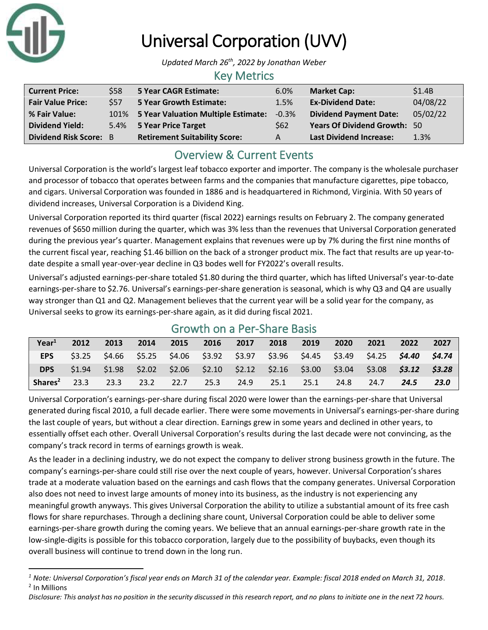

# Universal Corporation (UVV)

*Updated March 26th, 2022 by Jonathan Weber*

### Key Metrics

| <b>Current Price:</b>         | \$58 | 5 Year CAGR Estimate:                | 6.0%            | <b>Market Cap:</b>                  | \$1.4B   |
|-------------------------------|------|--------------------------------------|-----------------|-------------------------------------|----------|
| <b>Fair Value Price:</b>      | \$57 | 5 Year Growth Estimate:              | 1.5%            | <b>Ex-Dividend Date:</b>            | 04/08/22 |
| % Fair Value:                 | 101% | 5 Year Valuation Multiple Estimate:  | $-0.3%$         | <b>Dividend Payment Date:</b>       | 05/02/22 |
| <b>Dividend Yield:</b>        |      | 5.4% 5 Year Price Target             | S <sub>62</sub> | <b>Years Of Dividend Growth: 50</b> |          |
| <b>Dividend Risk Score: B</b> |      | <b>Retirement Suitability Score:</b> | А               | <b>Last Dividend Increase:</b>      | 1.3%     |

## Overview & Current Events

Universal Corporation is the world's largest leaf tobacco exporter and importer. The company is the wholesale purchaser and processor of tobacco that operates between farms and the companies that manufacture cigarettes, pipe tobacco, and cigars. Universal Corporation was founded in 1886 and is headquartered in Richmond, Virginia. With 50 years of dividend increases, Universal Corporation is a Dividend King.

Universal Corporation reported its third quarter (fiscal 2022) earnings results on February 2. The company generated revenues of \$650 million during the quarter, which was 3% less than the revenues that Universal Corporation generated during the previous year's quarter. Management explains that revenues were up by 7% during the first nine months of the current fiscal year, reaching \$1.46 billion on the back of a stronger product mix. The fact that results are up year-todate despite a small year-over-year decline in Q3 bodes well for FY2022's overall results.

Universal's adjusted earnings-per-share totaled \$1.80 during the third quarter, which has lifted Universal's year-to-date earnings-per-share to \$2.76. Universal's earnings-per-share generation is seasonal, which is why Q3 and Q4 are usually way stronger than Q1 and Q2. Management believes that the current year will be a solid year for the company, as Universal seeks to grow its earnings-per-share again, as it did during fiscal 2021.

| Year <sup>1</sup>   | 2012   | 2013 | 2014 | 2015 | $-2016$                  | 2017 | 2018 | 2019 | 2020                                                                                    | 2021 | 2022 | 2027   |
|---------------------|--------|------|------|------|--------------------------|------|------|------|-----------------------------------------------------------------------------------------|------|------|--------|
| <b>EPS</b>          |        |      |      |      |                          |      |      |      | $$3.25$ $$4.66$ $$5.25$ $$4.06$ $$3.92$ $$3.97$ $$3.96$ $$4.45$ $$3.49$ $$4.25$ $$4.40$ |      |      | S4.74  |
| <b>DPS</b>          | \$1.94 |      |      |      |                          |      |      |      | $$1.98$ $$2.02$ $$2.06$ $$2.10$ $$2.12$ $$2.16$ $$3.00$ $$3.04$ $$3.08$ $$3.12$         |      |      | \$3.28 |
| Shares <sup>2</sup> | 23.3   | 23.3 |      |      | 23.2 22.7 25.3 24.9 25.1 |      |      | 25.1 | 24.8                                                                                    | 24.7 | 24.5 | 23.0   |

## Growth on a Per-Share Basis

Universal Corporation's earnings-per-share during fiscal 2020 were lower than the earnings-per-share that Universal generated during fiscal 2010, a full decade earlier. There were some movements in Universal's earnings-per-share during the last couple of years, but without a clear direction. Earnings grew in some years and declined in other years, to essentially offset each other. Overall Universal Corporation's results during the last decade were not convincing, as the company's track record in terms of earnings growth is weak.

As the leader in a declining industry, we do not expect the company to deliver strong business growth in the future. The company's earnings-per-share could still rise over the next couple of years, however. Universal Corporation's shares trade at a moderate valuation based on the earnings and cash flows that the company generates. Universal Corporation also does not need to invest large amounts of money into its business, as the industry is not experiencing any meaningful growth anyways. This gives Universal Corporation the ability to utilize a substantial amount of its free cash flows for share repurchases. Through a declining share count, Universal Corporation could be able to deliver some earnings-per-share growth during the coming years. We believe that an annual earnings-per-share growth rate in the low-single-digits is possible for this tobacco corporation, largely due to the possibility of buybacks, even though its overall business will continue to trend down in the long run.

*<sup>1</sup> Note: Universal Corporation's fiscal year ends on March 31 of the calendar year. Example: fiscal 2018 ended on March 31, 2018.* 2 In Millions

*Disclosure: This analyst has no position in the security discussed in this research report, and no plans to initiate one in the next 72 hours.*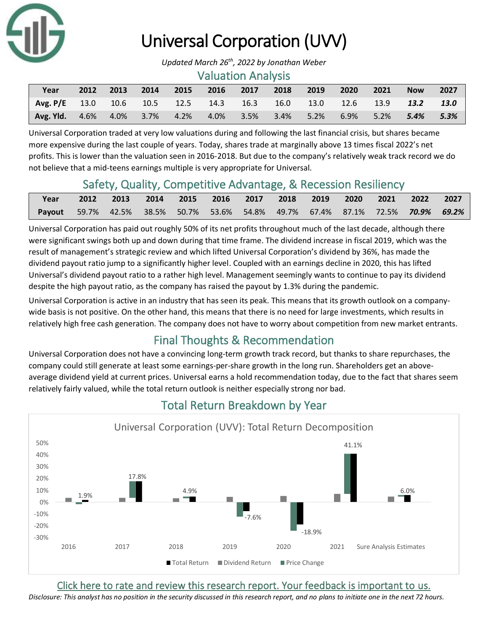

# Universal Corporation (UVV)

*Updated March 26th, 2022 by Jonathan Weber*

#### Valuation Analysis

| Year                                                                  | 2012 | 2013 | $\sim$ 2014 $\sim$ | $\sim$ 2015 | 2016 | 2017           | 2018 | 2019 | 2020      | $\sim$ 2021 | <b>Now</b> | 2027    |
|-----------------------------------------------------------------------|------|------|--------------------|-------------|------|----------------|------|------|-----------|-------------|------------|---------|
| $\sqrt{7}$ Avg. P/E 13.0 10.6 10.5 12.5 14.3 16.3 16.0 13.0 12.6 13.9 |      |      |                    |             |      |                |      |      |           |             | 13.2       | 13.0    |
| <b>Avg. Yid.</b> $4.6\%$ $4.0\%$ $3.7\%$ $4.2\%$                      |      |      |                    |             |      | 4.0% 3.5% 3.4% |      | 5.2% | 6.9% 5.2% |             | 5.4%       | $5.3\%$ |

Universal Corporation traded at very low valuations during and following the last financial crisis, but shares became more expensive during the last couple of years. Today, shares trade at marginally above 13 times fiscal 2022's net profits. This is lower than the valuation seen in 2016-2018. But due to the company's relatively weak track record we do not believe that a mid-teens earnings multiple is very appropriate for Universal.

## Safety, Quality, Competitive Advantage, & Recession Resiliency

| Year                                                                           |  |  | 2012 2013 2014 2015 2016 2017 2018 2019 2020 2021 2022 2027 |  |  |  |  |
|--------------------------------------------------------------------------------|--|--|-------------------------------------------------------------|--|--|--|--|
| Payout 59.7% 42.5% 38.5% 50.7% 53.6% 54.8% 49.7% 67.4% 87.1% 72.5% 70.9% 69.2% |  |  |                                                             |  |  |  |  |

Universal Corporation has paid out roughly 50% of its net profits throughout much of the last decade, although there were significant swings both up and down during that time frame. The dividend increase in fiscal 2019, which was the result of management's strategic review and which lifted Universal Corporation's dividend by 36%, has made the dividend payout ratio jump to a significantly higher level. Coupled with an earnings decline in 2020, this has lifted Universal's dividend payout ratio to a rather high level. Management seemingly wants to continue to pay its dividend despite the high payout ratio, as the company has raised the payout by 1.3% during the pandemic.

Universal Corporation is active in an industry that has seen its peak. This means that its growth outlook on a companywide basis is not positive. On the other hand, this means that there is no need for large investments, which results in relatively high free cash generation. The company does not have to worry about competition from new market entrants.

## Final Thoughts & Recommendation

Universal Corporation does not have a convincing long-term growth track record, but thanks to share repurchases, the company could still generate at least some earnings-per-share growth in the long run. Shareholders get an aboveaverage dividend yield at current prices. Universal earns a hold recommendation today, due to the fact that shares seem relatively fairly valued, while the total return outlook is neither especially strong nor bad.



## Total Return Breakdown by Year

[Click here to rate and review this research report. Your feedback is important to us.](https://suredividend.typeform.com/to/ScKeFu)

*Disclosure: This analyst has no position in the security discussed in this research report, and no plans to initiate one in the next 72 hours.*